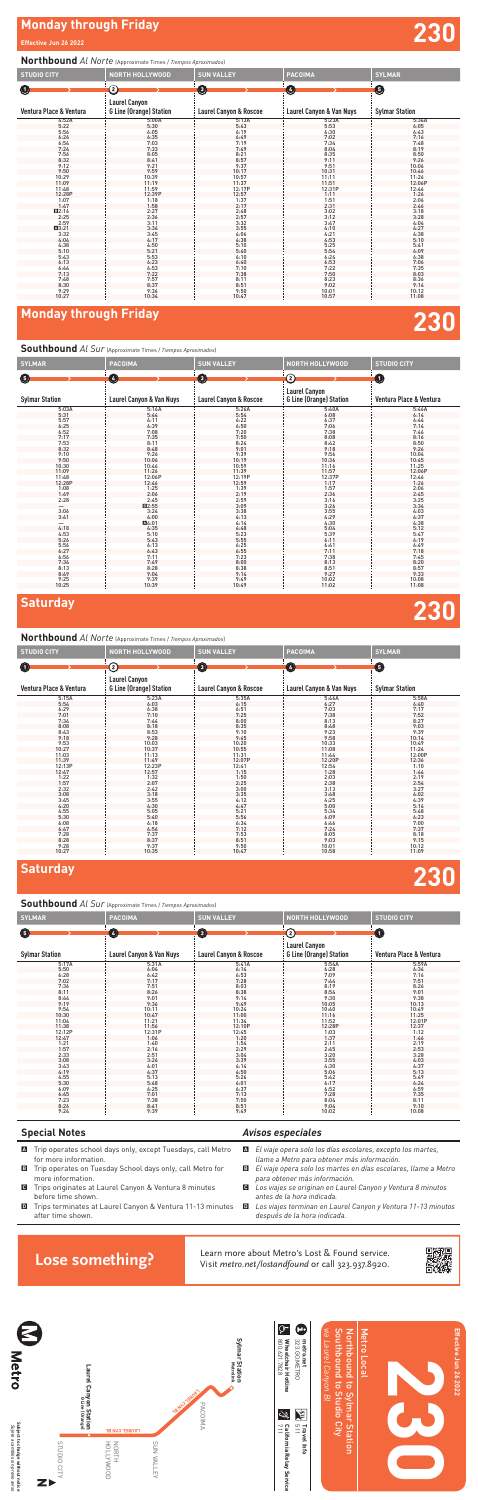# **Monday through Friday Effective Jun 26 2022 230**

# **Monday through Friday 230**



# **Saturday 230**

- $\blacksquare$  Trip operates school days only, except Tuesdays, call Metro for more information.
- B Trip operates on Tuesday School days only, call Metro for more information.
- C Trips originates at Laurel Canyon & Ventura 8 minutes before time shown.
- **D** Trips terminates at Laurel Canyon & Ventura 11-13 minutes after time shown.

### *Avisos especiales*

- A *El viaje opera solo los días escolares, excepto los martes, llame a Metro para obtener más información.*
- B *El viaje opera solo los martes en días escolares, llame a Metro para obtener más información.*
- C *Los viajes se originan en Laurel Canyon y Ventura 8 minutos antes de la hora indicada.*
- D *Los viajes terminan en Laurel Canyon y Ventura 11-13 minutos después de la hora indicada.*

Learn more about Metro's Lost & Found service.<br>Visit metro.net/lostandfound or call 323.937.8920.



### **Northbound** *Al Norte* (Approximate Times / *Tiempos Aproximados*)

### **Southbound** *Al Sur* (Approximate Times / *Tiempos Aproximados*)

| <b>STUDIO CITY</b>         | <b>NORTH HOLLYWOOD</b>                                 | <b>SUN VALLEY</b>                 | <b>PACOIMA</b>           | <b>SYLMAR</b>         |
|----------------------------|--------------------------------------------------------|-----------------------------------|--------------------------|-----------------------|
| $\bf \bm \Theta$           | ②                                                      | $\boldsymbol{\Theta}$             | Ø                        | ❺                     |
| Ventura Place & Ventura    | <b>Laurel Canyon</b><br><b>G Line (Orange) Station</b> | <b>Laurel Canyon &amp; Roscoe</b> | Laurel Canyon & Van Nuys | <b>Sylmar Station</b> |
| 4:52A                      | 5:00A                                                  | 5:13A                             | 5:23A                    | 5:34A                 |
| 5:22                       | 5:30                                                   | 5:43                              | 5:53                     | 6:05                  |
| 5:56                       | 6:05                                                   | 6:19                              | 6:30                     | 6:43                  |
| 6:26                       | 6:35                                                   | $6:49$<br>7:19<br>7:49            | 7:02                     | 7:16                  |
| $6:54$<br>$7:24$           | 7:03                                                   |                                   | 7:34                     | 7:48                  |
|                            | 7:33                                                   |                                   | 8:04                     | 8:19                  |
| 7:56                       | 8:05                                                   | 8:21                              | 8:35                     | 8:50                  |
| 8:32                       | 8:41                                                   | 8:57                              | 9:11                     | 9:26                  |
| 9:12                       | 9:21                                                   | 9:37                              | 9:51                     | 10:06                 |
| $9:50$<br>10:29            | 9:59                                                   | $10:17$<br>$10:57$                | 10:31                    | 10:46<br>11:26        |
|                            | 10:39                                                  |                                   | $\frac{11:11}{11:51}$    |                       |
| 11:09                      | 11:19                                                  | $11:37$<br>$12:17P$               |                          | 12:06P                |
| 11:48                      | 11:59                                                  |                                   | 12:31P                   | 12:46                 |
| 12:28P                     | 12:39P                                                 | 12:57                             | 1:11                     | 1:26                  |
| 1:07                       | 1:18                                                   | 1:37                              | 1:51                     | 2:06                  |
| 1:47                       | 1:58                                                   | $2:17$<br>$2:48$<br>$2:57$        | 2:31                     | $2:46$<br>$3:18$      |
| $\frac{12:16}{2:25}$       | 2:27                                                   |                                   | 3:02                     |                       |
|                            | 2:36                                                   |                                   | 3:12                     | 3:28                  |
| 2:59                       | 3:11                                                   | 3:32                              | 3:47                     | 4:04                  |
| A3:21                      | 3:34                                                   | 3:55                              | 4:10                     | 4:27                  |
| 3:32                       | 3:45                                                   |                                   | 4:21                     | 4:38                  |
|                            | 4:17                                                   |                                   | 4:53                     | 5:10                  |
| $4:04$<br>$4:38$<br>$5:10$ | 4:50                                                   | 4:06<br>4:38<br>5:10<br>5:40      | 5:25                     | 5:41                  |
|                            | 5:21                                                   |                                   | 5:54                     | 6:09                  |
| 5:43                       | 5:53                                                   | 6:10                              | 6:24                     | 6:38                  |
| 6:13                       | 6:23                                                   | 6:40                              | 6:53                     | 7:06                  |
|                            | 6:53                                                   | 7:10                              | 7:22                     | 7:35                  |
|                            | 7:22                                                   | 7:38                              | 7:50                     |                       |
| $6:44$<br>7:13<br>7:48     | 7:57                                                   | 8:11                              | 8:23                     | $8:03$<br>$8:36$      |
| 8:30                       | 8:37                                                   | 8:51                              | 9:02                     | 9:14                  |
| 9:29                       | 9:36                                                   | 9:50                              | 10:01                    | 10:12                 |
| 10:27                      | 10:34                                                  | 10:47                             | 10:57                    | 11:08                 |

### **Northbound** *Al Norte* (Approximate Times / *Tiempos Aproximados*)

| <b>SYLMAR</b>              | <b>PACOIMA</b>                      | <b>SUN VALLEY</b>                 | <b>NORTH HOLLYWOOD</b>                                 | <b>STUDIO CITY</b>      |
|----------------------------|-------------------------------------|-----------------------------------|--------------------------------------------------------|-------------------------|
| ❺                          | 0                                   | $\boldsymbol{\Theta}$             | ව                                                      | $\bf \bm \Theta$        |
| <b>Sylmar Station</b>      | <b>Laurel Canyon &amp; Van Nuys</b> | <b>Laurel Canyon &amp; Roscoe</b> | <b>Laurel Canyon</b><br><b>G Line (Orange) Station</b> | Ventura Place & Ventura |
| 5:03A                      | 5:16A                               | 5:26A                             | 5:40A                                                  | 5:46A                   |
| 5:31                       | 5:44                                | 5:54                              | 6:08                                                   | 6:14                    |
| $5:57$<br>6:25             | 6:11                                | 6:22                              | 6:37                                                   | 6:44                    |
|                            | 6:39                                | 6:50                              | 7:06                                                   | 7:14                    |
| 6:52                       | 7:08                                | 7:20                              | 7:38                                                   | 7:46                    |
| 7:17                       | 7:35                                | 7:50                              | 8:08                                                   | 8:16                    |
| 7:53                       | 8:11                                | 8:24                              | 8:42                                                   | 8:50                    |
| $8:32$<br>$9:10$<br>$9:50$ | 8:48                                | $9:01$<br>$9:39$                  | 9:18                                                   | 9:26                    |
|                            | 9:26                                |                                   | 9:56                                                   | 10:04                   |
|                            | 10:06                               | 10:19                             | 10:36                                                  | 10:45                   |
| 10:30                      | 10:46                               | 10:59                             | 11:16                                                  | 11:25                   |
| 11:09                      | 11:26                               | 11:39                             | 11:57                                                  | 12:06P                  |
| 11:48<br>12:28P            | 12:06P                              | 12:19P                            | 12:37P                                                 | 12:46                   |
|                            | 12:46<br>1:25                       | 12:59                             | 1:17                                                   | 1:26                    |
| $1:08$<br>$1:49$           |                                     | $1:39$<br>$2:19$                  | 1:57                                                   | 2:06                    |
|                            | 2:06                                |                                   | 2:36                                                   | 2:45                    |
| 2:28                       | 2:45                                | 2:59                              | 3:16                                                   | 3:25                    |
|                            | <b>E2:55</b>                        | 3:09                              | 3:26                                                   | 3:34                    |
| 3:06                       | 3:24                                | 3:38                              | 3:55                                                   | 4:03                    |
| 3:41                       | 4:00                                | 4:13                              | 4:29                                                   | 4:37                    |
|                            | A4:01                               | 4:14                              | 4:30                                                   | 4:38                    |
| 4:18                       | 4:35                                | 4:48                              | 5:04                                                   | 5:12                    |
| 4:53                       | 5:10                                | 5:23                              | 5:39                                                   | 5:47                    |
| 5:26                       | 5:43                                | $5:55$<br>6:25                    | 6:11                                                   | 6:19                    |
| 5:56<br>6:27               | 6:13                                |                                   | 6:41                                                   | 6:49                    |
|                            | 6:43                                | $6:55$<br>$7:23$                  | 7:11                                                   | 7:18                    |
| 6:56                       | 7:11                                |                                   | 7:38                                                   | 7:45                    |
| 7:34                       | 7:49                                | 8:00                              | 8:13                                                   | 8:20                    |
| 8:13                       | 8:28                                | 8:38                              | 8:51                                                   | 8:57                    |
| 8:49                       | 9:04                                | 9:14                              | 9:27                                                   | 9:33                    |
| 9:25                       | 9:39                                | 9:49                              | 10:02                                                  | 10:08                   |
| 10:25                      | 10:39                               | 10:49                             | 11:02                                                  | 11:08                   |

**Southbound** *Al Sur* (Approximate Times / *Tiempos Aproximados*)

| <b>STUDIO CITY</b>      | <b>NORTH HOLLYWOOD</b>                                 | <b>SUN VALLEY</b>                 | <b>PACOIMA</b>           | <b>SYLMAR</b>         |
|-------------------------|--------------------------------------------------------|-----------------------------------|--------------------------|-----------------------|
| $\bf{O}$                | ව                                                      | ➊                                 | $\bm{\bm{\circ}}$        | $\bullet$             |
| Ventura Place & Ventura | <b>Laurel Canyon</b><br><b>G Line (Orange) Station</b> | <b>Laurel Canyon &amp; Roscoe</b> | Laurel Canyon & Van Nuys | <b>Sylmar Station</b> |
| 5:15A                   | 5:23A                                                  | 5:35A                             | 5:46A                    | 5:58A                 |
| 5:54                    | 6:03                                                   | 6:15                              | 6:27                     | 6:40                  |
|                         | 6:38                                                   | $6:51$<br>7:25                    | $7:03$<br>$7:38$         | $7:17$<br>$7:52$      |
| $6:29$<br>$7:01$        | 7:10                                                   |                                   |                          |                       |
| $7:34$<br>$8:08$        | 7:44                                                   | $8:00$<br>$8:35$                  | 8:13                     | 8:27                  |
|                         | 8:18                                                   |                                   | 8:48                     | 9:03                  |
| 8:43                    | 8:53                                                   | 9:10                              | 9:23                     | 9:39                  |
| 9:18                    | 9:28                                                   | 9:45                              | 9:58                     | 10:14                 |
| 9:53                    | 10:03                                                  | 10:20                             | 10:33                    | 10:49                 |
| 10:27                   | 10:37                                                  | 10:55                             | 11:08                    | 11:24                 |
| 11:03                   | 11:13                                                  | 11:31                             | 11:44                    | 12:00P                |
| 11:39                   | 11:49                                                  | 12:07P                            | 12:20P                   | 12:36                 |
| 12:13P                  | 12:23P                                                 | 12:41                             | 12:54                    | 1:10                  |
| 12:47                   | 12:57                                                  | 1:15                              | 1:28                     | 1:44                  |
| 1:22                    | 1:32                                                   | 1:50                              | 2:03                     | 2:19                  |
| 1:57                    | 2:07                                                   | 2:25                              | 2:38                     | 2:54                  |
| 2:32                    | 2:42                                                   | 3:00                              | 3:13                     | 3:27                  |
| 3:08                    | 3:18                                                   | 3:35                              | 3:48                     | 4:02                  |
| 3:45                    | 3:55                                                   | 4:12                              | 4:25                     | 4:39                  |
| 4:20                    | 4:30                                                   | 4:47                              | 5:00                     | 5:14                  |
| 4:55                    | 5:05                                                   | 5:21                              | 5:34                     | 5:48                  |
| 5:30                    | 5:40                                                   | 5:56                              | 6:09                     | 6:23                  |
| 6:08                    | 6:18                                                   | 6:34                              | 6:46                     | 7:00                  |
| 6:47                    | 6:56                                                   | 7:12                              | 7:24                     | 7:37                  |
| 7:28                    | 7:37                                                   | 7:53                              | 8:05                     | 8:18                  |
| 8:28                    | 8:37                                                   | 8:51                              | 9:03                     | 9:15                  |
| 9:28                    | 9:37                                                   | 9:50                              | 10:01                    | 10:12                 |
| 10:27                   | 10:35                                                  | 10:47                             | 10:58                    | 11:09                 |

| <b>SYLMAR</b>         | <b>PACOIMA</b>           | <b>SUN VALLEY</b>      | <b>NORTH HOLLYWOOD</b>         | <b>STUDIO CITY</b>      |
|-----------------------|--------------------------|------------------------|--------------------------------|-------------------------|
|                       | 0                        | $\mathbf 0$            |                                | O                       |
| ❺                     |                          |                        | ව                              |                         |
|                       |                          |                        | <b>Laurel Canyon</b>           |                         |
| <b>Sylmar Station</b> | Laurel Canyon & Van Nuys | Laurel Canyon & Roscoe | <b>G Line (Orange) Station</b> | Ventura Place & Ventura |
| 5:17A                 | 5:31A                    | 5:41A                  | 5:54A                          | 5:59A                   |
| 5:50                  | 6:04                     | 6:14                   | 6:28                           | 6:34                    |
| 6:28                  | 6:42                     | 6:53                   | 7:09                           | 7:16                    |
| 7:02                  | 7:17                     | 7:28                   | 7:44                           | 7:51                    |
| 7:36                  | 7:51                     | 8:03                   | 8:19                           | 8:26                    |
| 8:11                  | 8:26                     | 8:38                   | 8:54                           | 9:01                    |
| 8:44                  | 9:01                     | 9:14                   | 9:30                           | 9:38                    |
| 9:19                  | 9:36                     | 9:49                   | 10:05                          | 10:13                   |
| 9:54                  | 10:11                    | 10:24                  | 10:40                          | 10:49                   |
| 10:30                 | 10:47                    | 11:00                  | 11:16                          | 11:25                   |
| 11:04                 | 11:21                    | 11:34                  | 11:52                          | 12:01P                  |
| 11:38                 | 11:56                    | 12:10P                 | 12:28P                         | 12:37                   |
| 12:12P                | 12:31P                   | 12:45                  | 1:03                           | 1:12                    |
| 12:47                 | 1:06                     | 1:20                   | 1:37                           | 1:46                    |
| $1:21$<br>$1:57$      | 1:40                     | $1:54$<br>$2:29$       | 2:11                           | $2:19$<br>$2:53$        |
|                       | 2:16                     |                        | 2:45                           |                         |
| 2:33                  | 2:51                     | 3:04                   | 3:20                           | 3:28                    |
| 3:08                  | 3:26                     | 3:39                   | 3:55                           | 4:03                    |
| 3:43                  | 4:01                     | 4:14                   | 4:30                           | 4:37                    |
| 4:19                  | 4:37                     | 4:50                   | 5:06                           | 5:13                    |
| 4:55                  | 5:13                     | 5:26                   | 5:42                           | 5:49                    |
| 5:30                  | 5:48                     | 6:01                   | 6:17                           | 6:24                    |
| 6:09                  | 6:25                     | 6:37                   | 6:52                           | 6:59                    |
| 6:45                  | 7:01                     | 7:13                   | 7:28                           | 7:35                    |
| 7:23                  | 7:38                     | 7:50                   | 8:04                           | 8:11                    |
| 8:26                  | 8:41                     | 8:51                   | 9:04                           | 9:10                    |
| 9:24                  | 9:39                     | 9:49                   | 10:02                          | 10:08                   |

### **Special Notes**